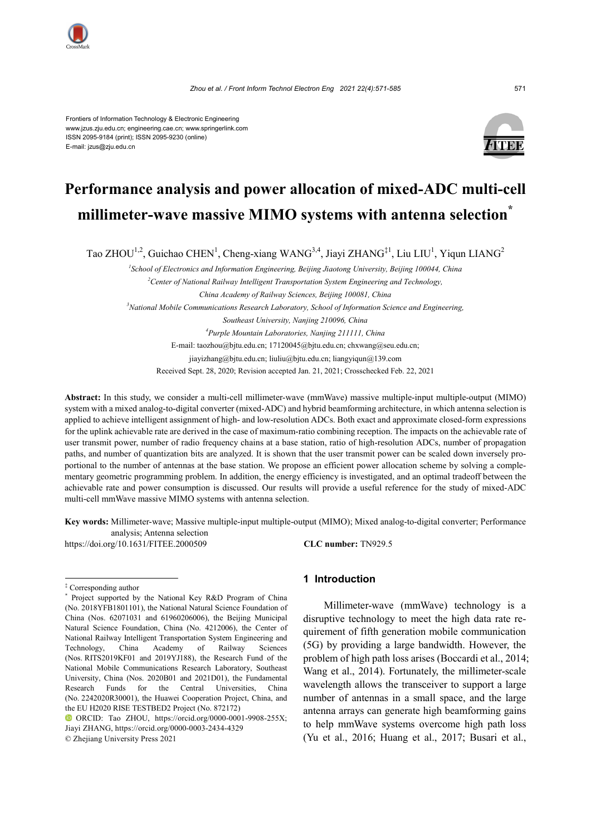

Frontiers of Information Technology & Electronic Engineering www.jzus.zju.edu.cn; engineering.cae.cn; www.springerlink.com ISSN 2095-9184 (print); ISSN 2095-9230 (online) E-mail: jzus@zju.edu.cn



# **Performance analysis and power allocation of mixed-ADC multi-cell millimeter-wave massive MIMO systems with antenna selection\***

Tao ZHOU<sup>1,2</sup>, Guichao CHEN<sup>1</sup>, Cheng-xiang WANG<sup>3,4</sup>, Jiayi ZHANG<sup>‡1</sup>, Liu LIU<sup>1</sup>, Yiqun LIANG<sup>2</sup>

*1 School of Electronics and Information Engineering, Beijing Jiaotong University, Beijing 100044, China* <sup>2</sup> Center of National Railway Intelligent Transportation System Engineering and Technology, *China Academy of Railway Sciences, Beijing 100081, China 3 National Mobile Communications Research Laboratory, School of Information Science and Engineering, Southeast University, Nanjing 210096, China 4 Purple Mountain Laboratories, Nanjing 211111, China*

E-mail: taozhou@bjtu.edu.cn; 17120045@bjtu.edu.cn; chxwang@seu.edu.cn; jiayizhang@bjtu.edu.cn; liuliu@bjtu.edu.cn; liangyiqun@139.com Received Sept. 28, 2020; Revision accepted Jan. 21, 2021; Crosschecked Feb. 22, 2021

**Abstract:** In this study, we consider a multi-cell millimeter-wave (mmWave) massive multiple-input multiple-output (MIMO) system with a mixed analog-to-digital converter (mixed-ADC) and hybrid beamforming architecture, in which antenna selection is applied to achieve intelligent assignment of high- and low-resolution ADCs. Both exact and approximate closed-form expressions for the uplink achievable rate are derived in the case of maximum-ratio combining reception. The impacts on the achievable rate of user transmit power, number of radio frequency chains at a base station, ratio of high-resolution ADCs, number of propagation paths, and number of quantization bits are analyzed. It is shown that the user transmit power can be scaled down inversely proportional to the number of antennas at the base station. We propose an efficient power allocation scheme by solving a complementary geometric programming problem. In addition, the energy efficiency is investigated, and an optimal tradeoff between the achievable rate and power consumption is discussed. Our results will provide a useful reference for the study of mixed-ADC multi-cell mmWave massive MIMO systems with antenna selection.

**Key words:** Millimeter-wave; Massive multiple-input multiple-output (MIMO); Mixed analog-to-digital converter; Performance analysis; Antenna selection

https://doi.org/10.1631/FITEE.2000509 **CLC number:** TN929.5

# **1 Introduction**

Millimeter-wave (mmWave) technology is a disruptive technology to meet the high data rate requirement of fifth generation mobile communication (5G) by providing a large bandwidth. However, the problem of high path loss arises (Boccardi et al., 2014; Wang et al., 2014). Fortunately, the millimeter-scale wavelength allows the transceiver to support a large number of antennas in a small space, and the large antenna arrays can generate high beamforming gains to help mmWave systems overcome high path loss (Yu et al., 2016; Huang et al., 2017; Busari et al.,

<sup>‡</sup> Corresponding author

Project supported by the National Key R&D Program of China (No. 2018YFB1801101), the National Natural Science Foundation of China (Nos. 62071031 and 61960206006), the Beijing Municipal Natural Science Foundation, China (No. 4212006), the Center of National Railway Intelligent Transportation System Engineering and Technology, China Academy of Railway Sciences (Nos. RITS2019KF01 and 2019YJ188), the Research Fund of the National Mobile Communications Research Laboratory, Southeast University, China (Nos. 2020B01 and 2021D01), the Fundamental Research Funds for the Central Universities, China (No. 2242020R30001), the Huawei Cooperation Project, China, and the EU H2020 RISE TESTBED2 Project (No. 872172)

ORCID: Tao ZHOU, https://orcid.org/0000-0001-9908-255X; Jiayi ZHANG, https://orcid.org/0000-0003-2434-4329 © Zhejiang University Press 2021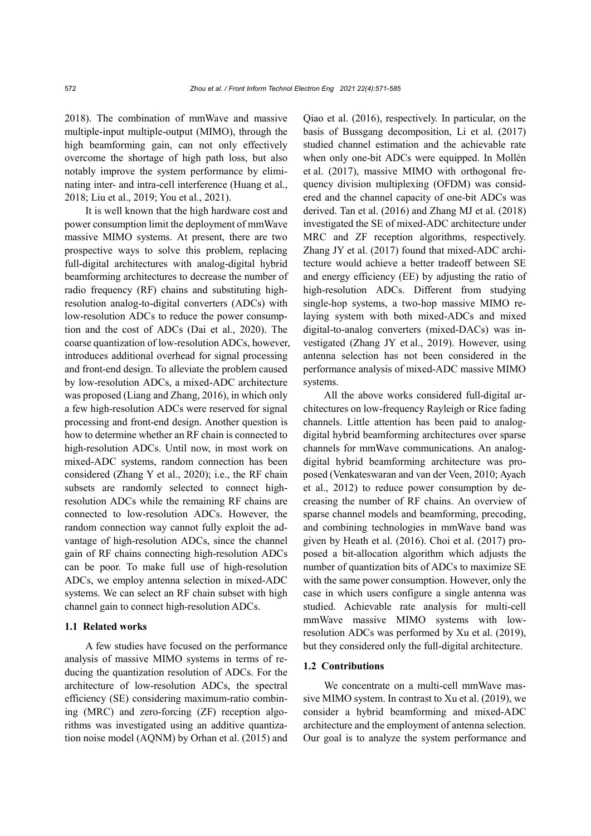2018). The combination of mmWave and massive multiple-input multiple-output (MIMO), through the high beamforming gain, can not only effectively overcome the shortage of high path loss, but also notably improve the system performance by eliminating inter- and intra-cell interference (Huang et al., 2018; Liu et al., 2019; You et al., 2021).

It is well known that the high hardware cost and power consumption limit the deployment of mmWave massive MIMO systems. At present, there are two prospective ways to solve this problem, replacing full-digital architectures with analog-digital hybrid beamforming architectures to decrease the number of radio frequency (RF) chains and substituting highresolution analog-to-digital converters (ADCs) with low-resolution ADCs to reduce the power consumption and the cost of ADCs (Dai et al., 2020). The coarse quantization of low-resolution ADCs, however, introduces additional overhead for signal processing and front-end design. To alleviate the problem caused by low-resolution ADCs, a mixed-ADC architecture was proposed (Liang and Zhang, 2016), in which only a few high-resolution ADCs were reserved for signal processing and front-end design. Another question is how to determine whether an RF chain is connected to high-resolution ADCs. Until now, in most work on mixed-ADC systems, random connection has been considered (Zhang Y et al., 2020); i.e., the RF chain subsets are randomly selected to connect highresolution ADCs while the remaining RF chains are connected to low-resolution ADCs. However, the random connection way cannot fully exploit the advantage of high-resolution ADCs, since the channel gain of RF chains connecting high-resolution ADCs can be poor. To make full use of high-resolution ADCs, we employ antenna selection in mixed-ADC systems. We can select an RF chain subset with high channel gain to connect high-resolution ADCs.

#### **1.1 Related works**

A few studies have focused on the performance analysis of massive MIMO systems in terms of reducing the quantization resolution of ADCs. For the architecture of low-resolution ADCs, the spectral efficiency (SE) considering maximum-ratio combining (MRC) and zero-forcing (ZF) reception algorithms was investigated using an additive quantization noise model (AQNM) by Orhan et al. (2015) and Qiao et al. (2016), respectively. In particular, on the basis of Bussgang decomposition, Li et al. (2017) studied channel estimation and the achievable rate when only one-bit ADCs were equipped. In Mollén et al. (2017), massive MIMO with orthogonal frequency division multiplexing (OFDM) was considered and the channel capacity of one-bit ADCs was derived. Tan et al. (2016) and Zhang MJ et al. (2018) investigated the SE of mixed-ADC architecture under MRC and ZF reception algorithms, respectively. Zhang JY et al. (2017) found that mixed-ADC architecture would achieve a better tradeoff between SE and energy efficiency (EE) by adjusting the ratio of high-resolution ADCs. Different from studying single-hop systems, a two-hop massive MIMO relaying system with both mixed-ADCs and mixed digital-to-analog converters (mixed-DACs) was investigated (Zhang JY et al., 2019). However, using antenna selection has not been considered in the performance analysis of mixed-ADC massive MIMO systems.

All the above works considered full-digital architectures on low-frequency Rayleigh or Rice fading channels. Little attention has been paid to analogdigital hybrid beamforming architectures over sparse channels for mmWave communications. An analogdigital hybrid beamforming architecture was proposed (Venkateswaran and van der Veen, 2010; Ayach et al., 2012) to reduce power consumption by decreasing the number of RF chains. An overview of sparse channel models and beamforming, precoding, and combining technologies in mmWave band was given by Heath et al. (2016). Choi et al. (2017) proposed a bit-allocation algorithm which adjusts the number of quantization bits of ADCs to maximize SE with the same power consumption. However, only the case in which users configure a single antenna was studied. Achievable rate analysis for multi-cell mmWave massive MIMO systems with lowresolution ADCs was performed by Xu et al. (2019), but they considered only the full-digital architecture.

#### **1.2 Contributions**

We concentrate on a multi-cell mmWave massive MIMO system. In contrast to Xu et al. (2019), we consider a hybrid beamforming and mixed-ADC architecture and the employment of antenna selection. Our goal is to analyze the system performance and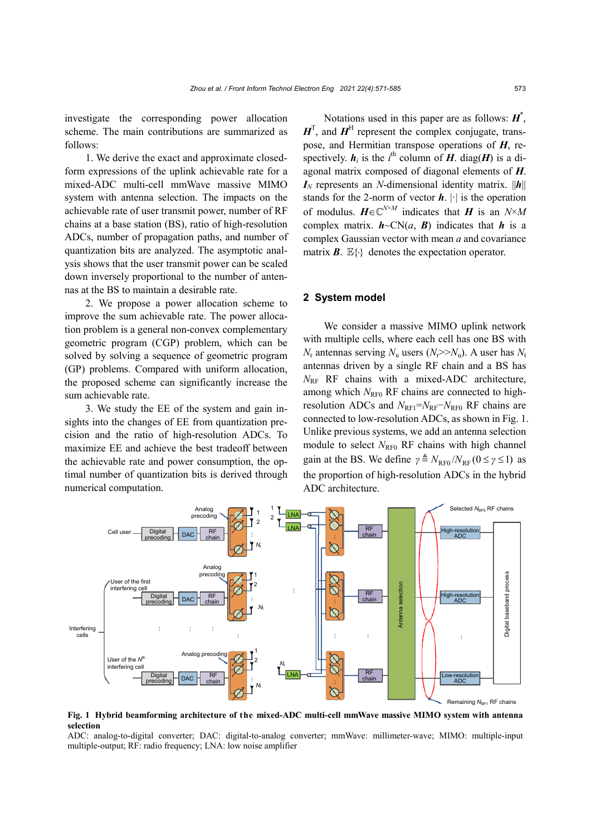investigate the corresponding power allocation scheme. The main contributions are summarized as follows:

1. We derive the exact and approximate closedform expressions of the uplink achievable rate for a mixed-ADC multi-cell mmWave massive MIMO system with antenna selection. The impacts on the achievable rate of user transmit power, number of RF chains at a base station (BS), ratio of high-resolution ADCs, number of propagation paths, and number of quantization bits are analyzed. The asymptotic analysis shows that the user transmit power can be scaled down inversely proportional to the number of antennas at the BS to maintain a desirable rate.

2. We propose a power allocation scheme to improve the sum achievable rate. The power allocation problem is a general non-convex complementary geometric program (CGP) problem, which can be solved by solving a sequence of geometric program (GP) problems. Compared with uniform allocation, the proposed scheme can significantly increase the sum achievable rate.

3. We study the EE of the system and gain insights into the changes of EE from quantization precision and the ratio of high-resolution ADCs. To maximize EE and achieve the best tradeoff between the achievable rate and power consumption, the optimal number of quantization bits is derived through numerical computation.

Notations used in this paper are as follows: *H*\* ,  $H<sup>T</sup>$ , and  $H<sup>H</sup>$  represent the complex conjugate, transpose, and Hermitian transpose operations of *H*, respectively.  $h_i$  is the *i*<sup>th</sup> column of *H*. diag(*H*) is a diagonal matrix composed of diagonal elements of *H*.  $I_N$  represents an *N*-dimensional identity matrix.  $||h||$ stands for the 2-norm of vector  $h$ .  $|\cdot|$  is the operation of modulus.  $H \in \mathbb{C}^{N \times M}$  indicates that *H* is an  $N \times M$ complex matrix.  $h \sim CN(a, B)$  indicates that *h* is a complex Gaussian vector with mean *a* and covariance matrix  $\mathbf{B}$ .  $\mathbb{E}\{\cdot\}$  denotes the expectation operator.

# **2 System model**

We consider a massive MIMO uplink network with multiple cells, where each cell has one BS with  $N_r$  antennas serving  $N_u$  users ( $N_r$ > $N_u$ ). A user has  $N_t$ antennas driven by a single RF chain and a BS has *N*RF RF chains with a mixed-ADC architecture, among which  $N_{\text{RF0}}$  RF chains are connected to highresolution ADCs and *N*RF1=*N*RF−*N*RF0 RF chains are connected to low-resolution ADCs, as shown in Fig. 1. Unlike previous systems, we add an antenna selection module to select *N*<sub>RF0</sub> RF chains with high channel gain at the BS. We define  $\gamma \triangleq N_{\text{RF}0} / N_{\text{RF}} (0 \le \gamma \le 1)$  as the proportion of high-resolution ADCs in the hybrid ADC architecture.



**Fig. 1 Hybrid beamforming architecture of the mixed-ADC multi-cell mmWave massive MIMO system with antenna selection**

ADC: analog-to-digital converter; DAC: digital-to-analog converter; mmWave: millimeter-wave; MIMO: multiple-input multiple-output; RF: radio frequency; LNA: low noise amplifier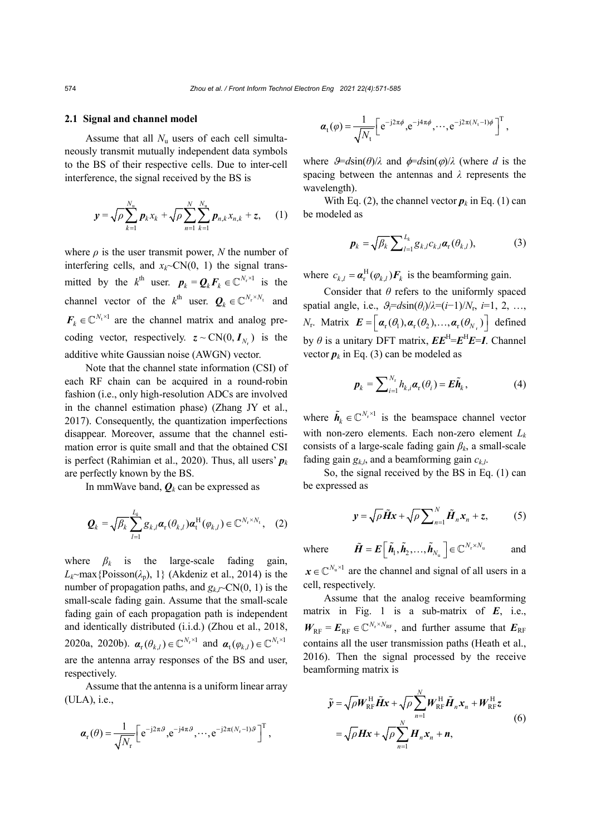#### **2.1 Signal and channel model**

Assume that all *N*<sup>u</sup> users of each cell simultaneously transmit mutually independent data symbols to the BS of their respective cells. Due to inter-cell interference, the signal received by the BS is

$$
\mathbf{y} = \sqrt{\rho} \sum_{k=1}^{N_{\rm u}} \mathbf{p}_k x_k + \sqrt{\rho} \sum_{n=1}^{N} \sum_{k=1}^{N_{\rm u}} \mathbf{p}_{n,k} x_{n,k} + z, \quad (1)
$$

where  $\rho$  is the user transmit power, N the number of interfering cells, and  $x_k$   $\sim$   $CN(0, 1)$  the signal transmitted by the  $k^{\text{th}}$  user.  $p_k = Q_k F_k \in \mathbb{C}^{N_r \times 1}$  is the channel vector of the  $k^{\text{th}}$  user.  $\mathbf{Q}_k \in \mathbb{C}^{N_r \times N_t}$  and  $F_k \in \mathbb{C}^{N_t \times 1}$  are the channel matrix and analog precoding vector, respectively.  $z \sim \text{CN}(0, I_{N_c})$  is the additive white Gaussian noise (AWGN) vector.

Note that the channel state information (CSI) of each RF chain can be acquired in a round-robin fashion (i.e., only high-resolution ADCs are involved in the channel estimation phase) (Zhang JY et al., 2017). Consequently, the quantization imperfections disappear. Moreover, assume that the channel estimation error is quite small and that the obtained CSI is perfect (Rahimian et al., 2020). Thus, all users'  $p_k$ are perfectly known by the BS.

In mmWave band,  $\boldsymbol{O}_k$  can be expressed as

$$
\boldsymbol{Q}_{k} = \sqrt{\beta_{k}} \sum_{l=1}^{L_{k}} g_{k,l} \boldsymbol{\alpha}_{r}(\theta_{k,l}) \boldsymbol{\alpha}_{t}^{\mathrm{H}}(\varphi_{k,l}) \in \mathbb{C}^{N_{r} \times N_{t}}, \quad (2)
$$

where  $\beta_k$  is the large-scale fading gain,  $L_k \sim \max{\text{Poisson}(\lambda_p), 1}$  (Akdeniz et al., 2014) is the number of propagation paths, and  $g_{k}$ *<sub>C</sub>* $\text{CN}(0, 1)$  is the small-scale fading gain. Assume that the small-scale fading gain of each propagation path is independent and identically distributed (i.i.d.) (Zhou et al., 2018, 2020a, 2020b).  $\boldsymbol{\alpha}_{r}(\theta_{k,l}) \in \mathbb{C}^{N_r \times 1}$  and  $\boldsymbol{\alpha}_{t}(\varphi_{k,l}) \in \mathbb{C}^{N_t \times 1}$ are the antenna array responses of the BS and user, respectively.

Assume that the antenna is a uniform linear array (ULA), i.e.,

$$
\boldsymbol{\alpha}_{\mathrm{r}}(\theta) = \frac{1}{\sqrt{N_{\mathrm{r}}}} \left[ e^{-j2\pi\theta}, e^{-j4\pi\theta}, \cdots, e^{-j2\pi(N_{\mathrm{r}}-1)\theta} \right]^{\mathrm{T}},
$$

$$
\boldsymbol{\alpha}_{t}(\varphi) = \frac{1}{\sqrt{N_{t}}} \left[ e^{-j2\pi\phi}, e^{-j4\pi\phi}, \cdots, e^{-j2\pi(N_{t}-1)\phi} \right]^{T},
$$

where  $\mathcal{F} = d \sin(\theta)/\lambda$  and  $\phi = d \sin(\phi)/\lambda$  (where *d* is the spacing between the antennas and *λ* represents the wavelength).

With Eq. (2), the channel vector  $p_k$  in Eq. (1) can be modeled as

$$
\boldsymbol{p}_k = \sqrt{\beta_k} \sum_{l=1}^{L_k} \mathcal{g}_{k,l} c_{k,l} \boldsymbol{\alpha}_r(\theta_{k,l}),
$$
(3)

where  $c_{k,l} = \boldsymbol{\alpha}_r^H(\varphi_{k,l}) \boldsymbol{F}_k$  is the beamforming gain.

Consider that  $\theta$  refers to the uniformly spaced spatial angle, i.e.,  $\theta_i = d \sin(\theta_i)/\lambda = (i-1)/N_r$ ,  $i=1, 2, ...,$ *N*<sub>r</sub>. Matrix  $\mathbf{E} = \left[ \mathbf{\alpha}_r(\theta_1), \mathbf{\alpha}_r(\theta_2), \dots, \mathbf{\alpha}_r(\theta_N) \right]$  defined by  $\theta$  is a unitary DFT matrix,  $\boldsymbol{E} \boldsymbol{E}^{\text{H}} = \boldsymbol{E}^{\text{H}} \boldsymbol{E} = \boldsymbol{I}$ . Channel vector  $p_k$  in Eq. (3) can be modeled as

$$
\boldsymbol{p}_k = \sum_{i=1}^{N_r} h_{k,i} \boldsymbol{\alpha}_r(\theta_i) = \boldsymbol{E} \tilde{\boldsymbol{h}}_k, \tag{4}
$$

where  $\tilde{\boldsymbol{h}}_k \in \mathbb{C}^{N_r \times 1}$  is the beamspace channel vector with non-zero elements. Each non-zero element *Lk* consists of a large-scale fading gain *βk*, a small-scale fading gain  $g_{k,l}$ , and a beamforming gain  $c_{k,l}$ .

So, the signal received by the BS in Eq. (1) can be expressed as

$$
y = \sqrt{\rho} \tilde{H}x + \sqrt{\rho} \sum_{n=1}^{N} \tilde{H}_n x_n + z, \qquad (5)
$$

where  $\tilde{H} = E\left[\tilde{h}_1, \tilde{h}_2, \dots, \tilde{h}_{N_u}\right] \in \mathbb{C}^{N_r \times N_u}$  and

 $x \in \mathbb{C}^{N_u \times 1}$  are the channel and signal of all users in a cell, respectively.

Assume that the analog receive beamforming matrix in Fig. 1 is a sub-matrix of *E*, i.e.,  $W_{RF} = E_{RF} \in \mathbb{C}^{N_r \times N_{RF}}$ , and further assume that  $E_{RF}$ contains all the user transmission paths (Heath et al., 2016). Then the signal processed by the receive beamforming matrix is

$$
\tilde{\mathbf{y}} = \sqrt{\rho} \mathbf{W}_{\text{RF}}^{\text{H}} \tilde{\mathbf{H}} \mathbf{x} + \sqrt{\rho} \sum_{n=1}^{N} \mathbf{W}_{\text{RF}}^{\text{H}} \tilde{\mathbf{H}}_{n} \mathbf{x}_{n} + \mathbf{W}_{\text{RF}}^{\text{H}} \mathbf{z}
$$
\n
$$
= \sqrt{\rho} \mathbf{H} \mathbf{x} + \sqrt{\rho} \sum_{n=1}^{N} \mathbf{H}_{n} \mathbf{x}_{n} + \mathbf{n},
$$
\n(6)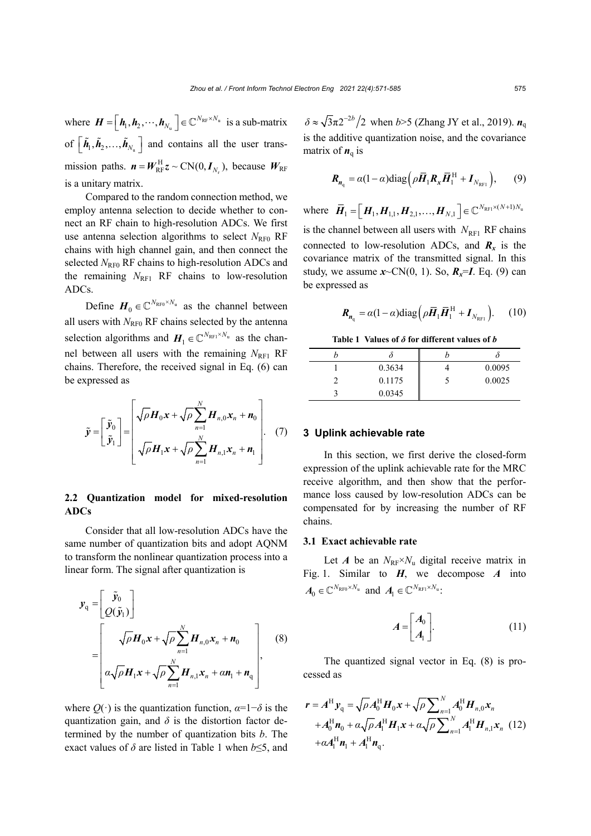where  $\mathbf{H} = [\mathbf{h}_1, \mathbf{h}_2, \cdots, \mathbf{h}_{N_u}] \in \mathbb{C}^{N_{RF} \times N_u}$  is a sub-matrix of  $\left[\tilde{h}_1, \tilde{h}_2, \ldots, \tilde{h}_{N_n}\right]$  and contains all the user transmission paths.  $\mathbf{n} = \mathbf{W}_{RF}^{H} \mathbf{z} \sim \text{CN}(0, \mathbf{I}_{N_{r}})$ , because  $\mathbf{W}_{RF}$ is a unitary matrix.

Compared to the random connection method, we employ antenna selection to decide whether to connect an RF chain to high-resolution ADCs. We first use antenna selection algorithms to select  $N_{\text{RFO}}$  RF chains with high channel gain, and then connect the selected  $N_{\text{RF0}}$  RF chains to high-resolution ADCs and the remaining  $N_{\text{RF1}}$  RF chains to low-resolution ADCs.

Define  $H_0 \in \mathbb{C}^{N_{\text{RF0}} \times N_{\text{u}}}$  as the channel between all users with  $N_{\text{RF0}}$  RF chains selected by the antenna selection algorithms and  $H_1 \in \mathbb{C}^{N_{\text{RF1}} \times N_u}$  as the channel between all users with the remaining  $N_{\text{RF1}}$  RF chains. Therefore, the received signal in Eq. (6) can be expressed as

$$
\tilde{\mathbf{y}} = \begin{bmatrix} \tilde{\mathbf{y}}_0 \\ \tilde{\mathbf{y}}_1 \end{bmatrix} = \begin{bmatrix} \sqrt{\rho} \mathbf{H}_0 \mathbf{x} + \sqrt{\rho} \sum_{n=1}^N \mathbf{H}_{n,0} \mathbf{x}_n + \mathbf{n}_0 \\ \sqrt{\rho} \mathbf{H}_1 \mathbf{x} + \sqrt{\rho} \sum_{n=1}^N \mathbf{H}_{n,1} \mathbf{x}_n + \mathbf{n}_1 \end{bmatrix} . \tag{7}
$$

# **2.2 Quantization model for mixed-resolution ADCs**

Consider that all low-resolution ADCs have the same number of quantization bits and adopt AQNM to transform the nonlinear quantization process into a linear form. The signal after quantization is

$$
\mathbf{y}_{q} = \begin{bmatrix} \tilde{\mathbf{y}}_{0} \\ Q(\tilde{\mathbf{y}}_{1}) \end{bmatrix}
$$
\n
$$
= \begin{bmatrix} \sqrt{\rho} \mathbf{H}_{0} \mathbf{x} + \sqrt{\rho} \sum_{n=1}^{N} \mathbf{H}_{n,0} \mathbf{x}_{n} + \mathbf{n}_{0} \\ \alpha \sqrt{\rho} \mathbf{H}_{1} \mathbf{x} + \sqrt{\rho} \sum_{n=1}^{N} \mathbf{H}_{n,1} \mathbf{x}_{n} + \alpha \mathbf{n}_{1} + \mathbf{n}_{q} \end{bmatrix},
$$
\n(8)

where  $Q(\cdot)$  is the quantization function,  $\alpha=1-\delta$  is the quantization gain, and  $\delta$  is the distortion factor determined by the number of quantization bits *b*. The exact values of *δ* are listed in Table 1 when *b*≤5, and  $\delta \approx \sqrt{3\pi} 2^{-2b} / 2$  when *b*>5 (Zhang JY et al., 2019).  $n_q$ is the additive quantization noise, and the covariance matrix of  $n_{\rm q}$  is

$$
\boldsymbol{R}_{\boldsymbol{n}_{\mathrm{q}}} = \alpha (1 - \alpha) \mathrm{diag} \left( \rho \boldsymbol{\bar{H}}_1 \boldsymbol{R}_x \boldsymbol{\bar{H}}_1^{\mathrm{H}} + \boldsymbol{I}_{N_{\mathrm{RF1}}} \right), \qquad (9)
$$

where  $\vec{H}_1 = [\vec{H}_1, \vec{H}_{1,1}, \vec{H}_{2,1}, \dots, \vec{H}_{N,1}] \in \mathbb{C}^{N_{\text{RF1}} \times (N+1)N_v}$ is the channel between all users with  $N_{\text{RF1}}$  RF chains connected to low-resolution ADCs, and  $R_x$  is the covariance matrix of the transmitted signal. In this study, we assume  $x \sim CN(0, 1)$ . So,  $R_x = I$ . Eq. (9) can be expressed as

$$
\boldsymbol{R}_{n_{\mathrm{q}}} = \alpha (1 - \alpha) \mathrm{diag} \left( \rho \boldsymbol{\bar{H}}_1 \boldsymbol{\bar{H}}_1^{\mathrm{H}} + \boldsymbol{I}_{N_{\mathrm{RF1}}} \right). \qquad (10)
$$

**Table 1 Values of** *δ* **for different values of** *b*

| 0.3634 | 0.0095 |
|--------|--------|
| 0.1175 | 0.0025 |
| 0.0345 |        |

### **3 Uplink achievable rate**

In this section, we first derive the closed-form expression of the uplink achievable rate for the MRC receive algorithm, and then show that the performance loss caused by low-resolution ADCs can be compensated for by increasing the number of RF chains.

# **3.1 Exact achievable rate**

Let *A* be an  $N_{RF} \times N_u$  digital receive matrix in Fig. 1. Similar to *H*, we decompose *A* into  $A_0 \in \mathbb{C}^{N_{\mathrm{RF0}} \times N_{\mathrm{u}}}$  and  $A_1 \in \mathbb{C}^{N_{\mathrm{RF1}} \times N_{\mathrm{u}}}$ :

$$
A = \begin{bmatrix} A_0 \\ A_1 \end{bmatrix} . \tag{11}
$$

The quantized signal vector in Eq. (8) is processed as

$$
\mathbf{r} = A^{H} \mathbf{y}_{q} = \sqrt{\rho} A_{0}^{H} \mathbf{H}_{0} \mathbf{x} + \sqrt{\rho} \sum_{n=1}^{N} A_{0}^{H} \mathbf{H}_{n,0} \mathbf{x}_{n} + A_{0}^{H} \mathbf{n}_{0} + \alpha \sqrt{\rho} A_{1}^{H} \mathbf{H}_{1} \mathbf{x} + \alpha \sqrt{\rho} \sum_{n=1}^{N} A_{1}^{H} \mathbf{H}_{n,1} \mathbf{x}_{n}
$$
 (12)  
+ $\alpha A_{1}^{H} \mathbf{n}_{1} + A_{1}^{H} \mathbf{n}_{q}.$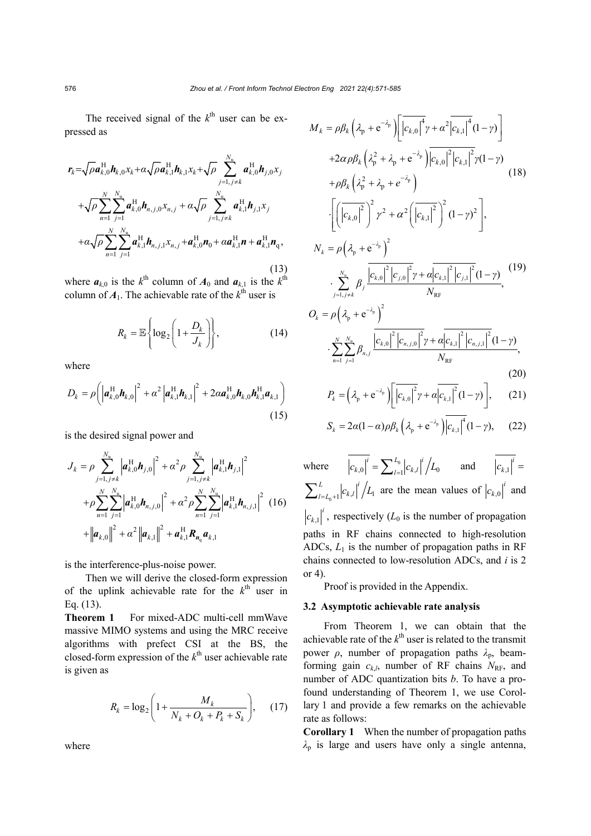The received signal of the  $k^{\text{th}}$  user can be expressed as

$$
\mathbf{r}_{k} = \sqrt{\rho} \mathbf{a}_{k,0}^{\mathrm{H}} \mathbf{h}_{k,0} x_{k} + \alpha \sqrt{\rho} \mathbf{a}_{k,1}^{\mathrm{H}} \mathbf{h}_{k,1} x_{k} + \sqrt{\rho} \sum_{j=1, j \neq k}^{N_{\mathrm{u}}} \mathbf{a}_{k,0}^{\mathrm{H}} \mathbf{h}_{j,0} x_{j}
$$
  
+  $\sqrt{\rho} \sum_{n=1}^{N} \sum_{j=1}^{N_{\mathrm{u}}} \mathbf{a}_{k,0}^{\mathrm{H}} \mathbf{h}_{n,j,0} x_{n,j} + \alpha \sqrt{\rho} \sum_{j=1, j \neq k}^{N_{\mathrm{u}}} \mathbf{a}_{k,1}^{\mathrm{H}} \mathbf{h}_{j,1} x_{j}$   
+  $\alpha \sqrt{\rho} \sum_{n=1}^{N} \sum_{j=1}^{N_{\mathrm{u}}} \mathbf{a}_{k,1}^{\mathrm{H}} \mathbf{h}_{n,j,1} x_{n,j} + \mathbf{a}_{k,0}^{\mathrm{H}} \mathbf{n}_{0} + \alpha \mathbf{a}_{k,1}^{\mathrm{H}} \mathbf{n} + \mathbf{a}_{k,1}^{\mathrm{H}} \mathbf{n}_{q},$  (13)

where  $a_{k,0}$  is the  $k^{\text{th}}$  column of  $A_0$  and  $a_{k,1}$  is the  $k^{\text{th}}$ column of  $A_1$ . The achievable rate of the  $k^{\text{th}}$  user is

$$
R_k = \mathbb{E}\left\{\log_2\left(1 + \frac{D_k}{J_k}\right)\right\},\tag{14}
$$

where

$$
D_{k} = \rho \bigg( \left| \boldsymbol{a}_{k,0}^{\mathrm{H}} \boldsymbol{h}_{k,0} \right|^{2} + \alpha^{2} \left| \boldsymbol{a}_{k,1}^{\mathrm{H}} \boldsymbol{h}_{k,1} \right|^{2} + 2 \alpha \boldsymbol{a}_{k,0}^{\mathrm{H}} \boldsymbol{h}_{k,0} \boldsymbol{h}_{k,1}^{\mathrm{H}} \boldsymbol{a}_{k,1} \bigg)
$$
\n(15)

is the desired signal power and

$$
J_{k} = \rho \sum_{j=1, j \neq k}^{N_{\rm u}} \left| \mathbf{a}_{k,0}^{\rm H} \mathbf{h}_{j,0} \right|^{2} + \alpha^{2} \rho \sum_{j=1, j \neq k}^{N_{\rm u}} \left| \mathbf{a}_{k,1}^{\rm H} \mathbf{h}_{j,1} \right|^{2}
$$
  
+  $\rho \sum_{n=1}^{N} \sum_{j=1}^{N_{\rm u}} \left| \mathbf{a}_{k,0}^{\rm H} \mathbf{h}_{n,j,0} \right|^{2} + \alpha^{2} \rho \sum_{n=1}^{N} \sum_{j=1}^{N_{\rm u}} \left| \mathbf{a}_{k,1}^{\rm H} \mathbf{h}_{n,j,1} \right|^{2} (16)+  $\left| \mathbf{a}_{k,0} \right|^{2} + \alpha^{2} \left| \mathbf{a}_{k,1} \right|^{2} + \mathbf{a}_{k,1}^{\rm H} \mathbf{R}_{n_{\rm q}} \mathbf{a}_{k,1}$$ 

is the interference-plus-noise power.

Then we will derive the closed-form expression of the uplink achievable rate for the  $k^{\text{th}}$  user in Eq. (13).

**Theorem 1** For mixed-ADC multi-cell mmWave massive MIMO systems and using the MRC receive algorithms with prefect CSI at the BS, the closed-form expression of the  $k^{\text{th}}$  user achievable rate is given as

$$
R_k = \log_2 \left( 1 + \frac{M_k}{N_k + O_k + P_k + S_k} \right), \quad (17)
$$

where

$$
M_{k} = \rho \beta_{k} \left( \lambda_{p} + e^{-\lambda_{p}} \right) \left[ \left| c_{k,0} \right|^{4} \gamma + \alpha^{2} \left| c_{k,1} \right|^{4} (1 - \gamma) \right]
$$
  
+2\alpha \rho \beta\_{k} \left( \lambda\_{p}^{2} + \lambda\_{p} + e^{-\lambda\_{p}} \right) \left| c\_{k,0} \right|^{2} \left| c\_{k,1} \right|^{2} \gamma (1 - \gamma)   
+ \rho \beta\_{k} \left( \lambda\_{p}^{2} + \lambda\_{p} + e^{-\lambda\_{p}} \right) \left[ \left( \left| c\_{k,0} \right|^{2} \right)^{2} \gamma^{2} + \alpha^{2} \left( \left| c\_{k,1} \right|^{2} \right)^{2} (1 - \gamma)^{2} \right],  

$$
N_{k} = \rho \left( \lambda_{p} + e^{-\lambda_{p}} \right)^{2}
$$
  

$$
\cdot \sum_{j=1, j \neq k}^{N_{u}} \beta_{j} \frac{\left| c_{k,0} \right|^{2} \left| c_{j,0} \right|^{2} \gamma + \alpha \left| c_{k,1} \right|^{2} \left| c_{j,1} \right|^{2} (1 - \gamma)}{N_{RF}},
$$
  

$$
O_{k} = \rho \left( \lambda_{p} + e^{-\lambda_{p}} \right)^{2}
$$

$$
\cdot \sum_{n=1}^{N} \sum_{j=1}^{N_{\rm u}} \beta_{n,j} \frac{\left|c_{k,0}\right|^2 \left|c_{n,j,0}\right|^2 \gamma + \alpha \left|c_{k,1}\right|^2 \left|c_{n,j,1}\right|^2 (1-\gamma)}{N_{\rm RF}},\tag{20}
$$

$$
P_{k} = \left(\lambda_{p} + e^{-\lambda_{p}}\right) \left[ \left|c_{k,0}\right|^{2} \gamma + \alpha \left|c_{k,1}\right|^{2} (1 - \gamma)\right],
$$
 (21)

$$
S_k = 2\alpha (1 - \alpha) \rho \beta_k \left(\lambda_p + e^{-\lambda_p}\right) \left|c_{k,1}\right|^4 (1 - \gamma), \qquad (22)
$$

where  $\left| c_{k,0} \right|^{\prime} = \sum_{l=1}^{L_0} \left| c_{k,l} \right|^{\prime} / L_0$  $i \nabla L_0$  |  $i$  $c_{k,0}$ <sup>*i*</sup> =  $\sum_{l=1}^{L_0} |c_{k,l}|^i / L_0$  and  $|c_{k,1}|^i =$  $C_{0+1}$ <sup>[ $\mathcal{L}_{k,l}$ </sup>]  $\mathcal{L}_{1}$  $L \tvert i$  $\sum_{l=L_0+1}^{L} |c_{k,l}|^l / L_1$  are the mean values of  $|c_{k,0}|^l$  and  $c_{k,1}$ <sup> $\left| \right|$ </sup>, respectively ( $L_0$  is the number of propagation paths in RF chains connected to high-resolution ADCs,  $L_1$  is the number of propagation paths in RF chains connected to low-resolution ADCs, and *i* is 2 or 4).

Proof is provided in the Appendix.

#### **3.2 Asymptotic achievable rate analysis**

From Theorem 1, we can obtain that the achievable rate of the  $k^{\text{th}}$  user is related to the transmit power *ρ*, number of propagation paths  $λ_p$ , beamforming gain  $c_{k,l}$ , number of RF chains  $N_{RF}$ , and number of ADC quantization bits *b*. To have a profound understanding of Theorem 1, we use Corollary 1 and provide a few remarks on the achievable rate as follows:

**Corollary 1** When the number of propagation paths *λ*<sup>p</sup> is large and users have only a single antenna,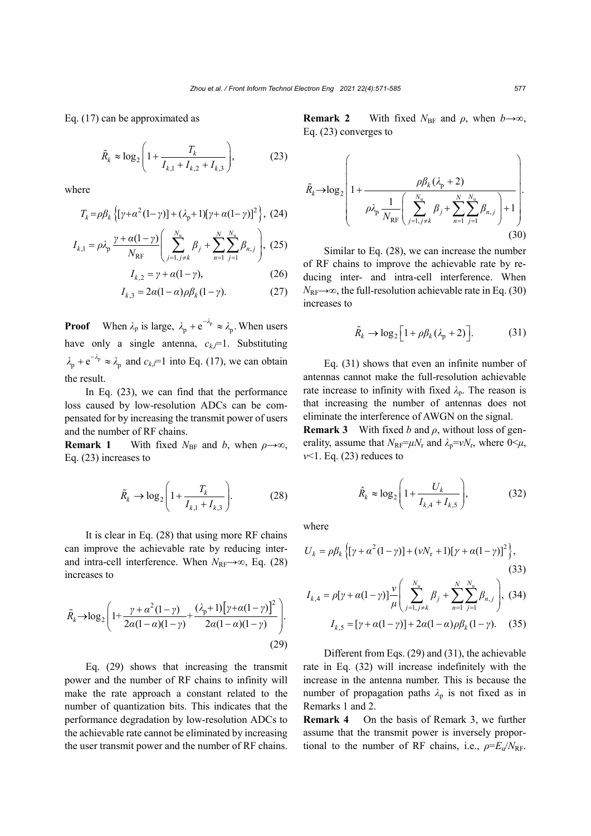Eq. (17) can be approximated as

2  $,1$ <sup> $\top$ </sup> $k$ , 2<sup> $\top$ </sup> $k$ , 3  $\vert k \approx \log_2 \left( 1 + \frac{I_k}{I + I_{k+1} - I_{k+1}} \right)$  $k, 1 + \mathbf{1}_{k,2} + \mathbf{1}_{k}$  $\tilde{R}_k \approx \log_2 \left(1 + \frac{T_s}{T_s}\right)$  $I_{k1} + I_{k2} + I$  $\begin{pmatrix} 1 & 1 \\ 1 & 1 \end{pmatrix}$  $\approx \log_2 |1 + \frac{1}{1+1}$  $\begin{pmatrix} I_{k,1} + I_{k,2} + I_{k,3} \end{pmatrix}$  $\tilde{R}_k \approx \log_2 |1 + \frac{I_k}{I} |,$  (23)

where

$$
T_{k} = \rho \beta_{k} \left\{ \left[ \gamma + \alpha^{2} (1 - \gamma) \right] + (\lambda_{p} + 1) \left[ \gamma + \alpha (1 - \gamma) \right]^{2} \right\}, (24)
$$

$$
I_{k,1} = \rho \lambda_{\rm p} \frac{\gamma + \alpha (1 - \gamma)}{N_{\rm RF}} \left( \sum_{j=1, j \neq k}^{N_{\rm u}} \beta_j + \sum_{n=1}^{N} \sum_{j=1}^{N_{\rm u}} \beta_{n,j} \right), (25)
$$

$$
I_{k,2} = \gamma + \alpha(1 - \gamma),\tag{26}
$$

$$
I_{k,3} = 2\alpha(1-\alpha)\rho\beta_k(1-\gamma). \tag{27}
$$

**Proof** When  $\lambda_p$  is large,  $\lambda_p + e^{-\lambda_p} \approx \lambda_p$ . When users have only a single antenna,  $c_{k}$ <sup> $=$ 1</sup>. Substituting  $\lambda_p + e^{-\lambda_p} \approx \lambda_p$  and  $c_{k,l} = 1$  into Eq. (17), we can obtain the result.

In Eq. (23), we can find that the performance loss caused by low-resolution ADCs can be compensated for by increasing the transmit power of users and the number of RF chains.

**Remark 1** With fixed  $N_{\text{BF}}$  and *b*, when  $\rho \rightarrow \infty$ , Eq. (23) increases to

$$
\tilde{R}_k \to \log_2 \left( 1 + \frac{T_k}{I_{k,1} + I_{k,3}} \right). \tag{28}
$$

It is clear in Eq. (28) that using more RF chains can improve the achievable rate by reducing interand intra-cell interference. When  $N_{\text{RF}} \rightarrow \infty$ , Eq. (28) increases to

$$
\tilde{R}_{k} \rightarrow \log_{2} \left( 1 + \frac{\gamma + \alpha^{2} (1 - \gamma)}{2\alpha (1 - \alpha)(1 - \gamma)} + \frac{(\lambda_{p} + 1) [\gamma + \alpha (1 - \gamma)]^{2}}{2\alpha (1 - \alpha)(1 - \gamma)} \right). \tag{29}
$$

Eq. (29) shows that increasing the transmit power and the number of RF chains to infinity will make the rate approach a constant related to the number of quantization bits. This indicates that the performance degradation by low-resolution ADCs to the achievable rate cannot be eliminated by increasing the user transmit power and the number of RF chains.

**Remark 2** With fixed  $N_{\text{BF}}$  and  $\rho$ , when  $b \rightarrow \infty$ , Eq. (23) converges to

$$
\tilde{R}_{k} \rightarrow \log_{2} \left( 1 + \frac{\rho \beta_{k} (\lambda_{p} + 2)}{\rho \lambda_{p} \frac{1}{N_{RF}} \left( \sum_{j=1, j \neq k}^{N_{u}} \beta_{j} + \sum_{n=1}^{N} \sum_{j=1}^{N_{u}} \beta_{n,j} \right) + 1} \right).
$$
\n(30)

Similar to Eq. (28), we can increase the number of RF chains to improve the achievable rate by reducing inter- and intra-cell interference. When  $N_{\text{RF}}\rightarrow\infty$ , the full-resolution achievable rate in Eq. (30) increases to

$$
\tilde{R}_k \to \log_2 \left[ 1 + \rho \beta_k (\lambda_p + 2) \right]. \tag{31}
$$

Eq. (31) shows that even an infinite number of antennas cannot make the full-resolution achievable rate increase to infinity with fixed  $\lambda_p$ . The reason is that increasing the number of antennas does not eliminate the interference of AWGN on the signal.

**Remark 3** With fixed *b* and  $\rho$ , without loss of generality, assume that  $N_{\text{RF}} = \mu N_r$  and  $\lambda_p = vN_r$ , where  $0 \leq \mu$ ,  $v$ I. Eq. (23) reduces to

$$
\hat{R}_k \approx \log_2 \left( 1 + \frac{U_k}{I_{k,4} + I_{k,5}} \right),
$$
\n(32)

where

$$
U_{k} = \rho \beta_{k} \{ [\gamma + \alpha^{2} (1 - \gamma)] + (\nu N_{r} + 1) [\gamma + \alpha (1 - \gamma)]^{2} \},
$$
\n(33)

$$
I_{k,4} = \rho[\gamma + \alpha(1-\gamma)]\frac{\nu}{\mu} \left( \sum_{j=1, j \neq k}^{N_{\rm u}} \beta_j + \sum_{n=1}^{N} \sum_{j=1}^{N_{\rm u}} \beta_{n,j} \right), (34)
$$

$$
I_{k,5} = [\gamma + \alpha(1-\gamma)] + 2\alpha(1-\alpha)\rho \beta_k(1-\gamma). \quad (35)
$$

Different from Eqs. (29) and (31), the achievable rate in Eq. (32) will increase indefinitely with the increase in the antenna number. This is because the number of propagation paths  $\lambda_p$  is not fixed as in Remarks 1 and 2.

**Remark 4** On the basis of Remark 3, we further assume that the transmit power is inversely proportional to the number of RF chains, i.e.,  $\rho = E_u / N_{RF}$ .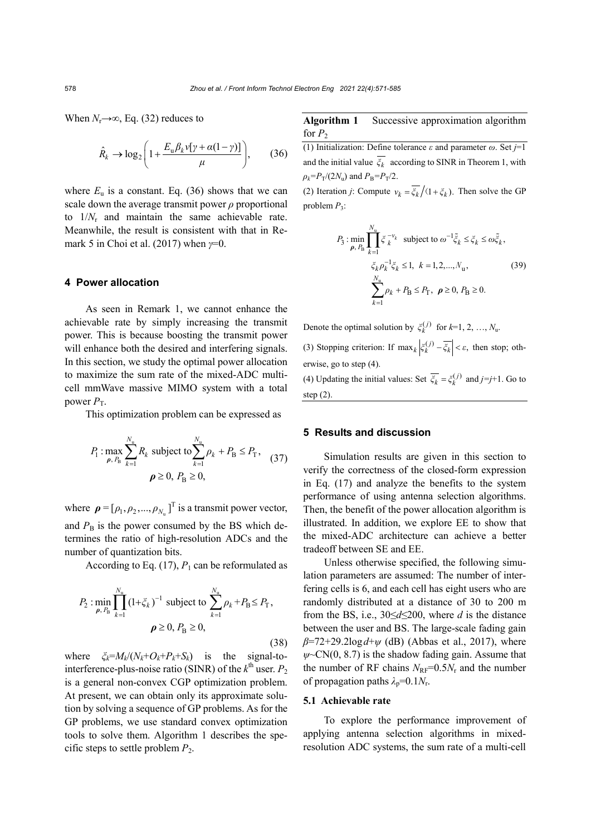When  $N_r \rightarrow \infty$ , Eq. (32) reduces to

$$
\hat{R}_{k} \to \log_2 \left( 1 + \frac{E_{\rm u} \beta_{k} v[\gamma + \alpha (1 - \gamma)]}{\mu} \right), \qquad (36)
$$

where  $E_u$  is a constant. Eq. (36) shows that we can scale down the average transmit power *ρ* proportional to 1/*N*<sup>r</sup> and maintain the same achievable rate. Meanwhile, the result is consistent with that in Remark 5 in Choi et al. (2017) when *γ*=0.

# **4 Power allocation**

As seen in Remark 1, we cannot enhance the achievable rate by simply increasing the transmit power. This is because boosting the transmit power will enhance both the desired and interfering signals. In this section, we study the optimal power allocation to maximize the sum rate of the mixed-ADC multicell mmWave massive MIMO system with a total power  $P<sub>T</sub>$ .

This optimization problem can be expressed as

$$
P_1: \max_{\rho, P_B} \sum_{k=1}^{N_u} R_k \text{ subject to } \sum_{k=1}^{N_u} \rho_k + P_B \le P_T, \quad (37)
$$
  

$$
\rho \ge 0, P_B \ge 0,
$$

where  $\boldsymbol{\rho} = [\rho_1, \rho_2, ..., \rho_{N_u}]^T$  is a transmit power vector, and  $P_{\rm B}$  is the power consumed by the BS which determines the ratio of high-resolution ADCs and the number of quantization bits.

According to Eq.  $(17)$ ,  $P_1$  can be reformulated as

$$
P_2: \min_{\rho, P_B} \prod_{k=1}^{N_u} (1 + \xi_k)^{-1} \text{ subject to } \sum_{k=1}^{N_u} \rho_k + P_B \le P_T,
$$
  

$$
\rho \ge 0, P_B \ge 0,
$$
 (38)

where  $\zeta_k = M_k/(N_k + O_k + P_k + S_k)$  is the signal-tointerference-plus-noise ratio (SINR) of the  $k^{\text{th}}$  user.  $P_2$ is a general non-convex CGP optimization problem. At present, we can obtain only its approximate solution by solving a sequence of GP problems. As for the GP problems, we use standard convex optimization tools to solve them. Algorithm 1 describes the specific steps to settle problem  $P_2$ .

# **Algorithm 1** Successive approximation algorithm for  $P_2$

(1) Initialization: Define tolerance *ε* and parameter *ω*. Set *j*=1 and the initial value  $\overline{\xi_k}$  according to SINR in Theorem 1, with  $\rho_k = P_T/(2N_u)$  and  $P_B = P_T/2$ .

(2) Iteration *j*: Compute  $v_k = \frac{\overline{\xi_k}}{f} \left( 1 + \xi_k \right)$ . Then solve the GP problem *P*3:

$$
P_3: \min_{\rho, P_B} \prod_{k=1}^{N_u} \xi_k^{-\nu_k} \text{ subject to } \omega^{-1} \tilde{\xi}_k \le \xi_k \le \omega \tilde{\xi}_k, \n\zeta_k \rho_k^{-1} \xi_k \le 1, \ k = 1, 2, ..., N_u, \n\sum_{k=1}^{N_u} \rho_k + P_B \le P_T, \ \rho \ge 0, P_B \ge 0.
$$
\n(39)

Denote the optimal solution by  $\xi_k^{(j)}$  for  $k=1, 2, ..., N_u$ . (3) Stopping criterion: If  $\max_k |\xi_k^{(j)} - \overline{\xi_k}| < \varepsilon$ , then stop; otherwise, go to step (4). (4) Updating the initial values: Set  $\overline{\xi_k} = \xi_k^{(j)}$  and  $j = j+1$ . Go to step (2).

# **5 Results and discussion**

Simulation results are given in this section to verify the correctness of the closed-form expression in Eq. (17) and analyze the benefits to the system performance of using antenna selection algorithms. Then, the benefit of the power allocation algorithm is illustrated. In addition, we explore EE to show that the mixed-ADC architecture can achieve a better tradeoff between SE and EE.

Unless otherwise specified, the following simulation parameters are assumed: The number of interfering cells is 6, and each cell has eight users who are randomly distributed at a distance of 30 to 200 m from the BS, i.e., 30≤*d*≤200, where *d* is the distance between the user and BS. The large-scale fading gain *β*=72+29.2log*d*+*ψ* (dB) (Abbas et al., 2017), where  $\psi$   $\sim$ CN(0, 8.7) is the shadow fading gain. Assume that the number of RF chains  $N_{\text{RF}}=0.5N_{\text{r}}$  and the number of propagation paths  $\lambda_p=0.1N_r$ .

# **5.1 Achievable rate**

To explore the performance improvement of applying antenna selection algorithms in mixedresolution ADC systems, the sum rate of a multi-cell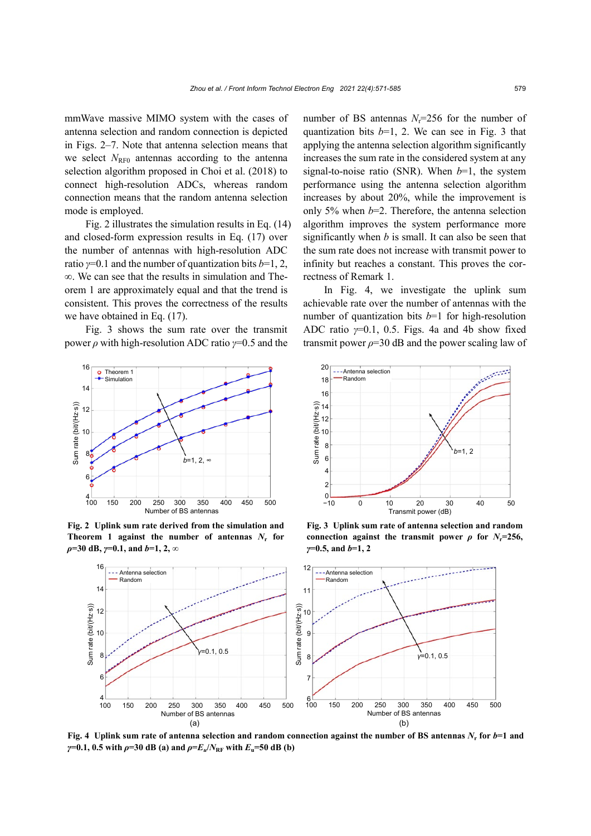mmWave massive MIMO system with the cases of antenna selection and random connection is depicted in Figs. 2–7. Note that antenna selection means that we select  $N_{\text{RF0}}$  antennas according to the antenna selection algorithm proposed in Choi et al. (2018) to connect high-resolution ADCs, whereas random connection means that the random antenna selection mode is employed.

Fig. 2 illustrates the simulation results in Eq. (14) and closed-form expression results in Eq. (17) over the number of antennas with high-resolution ADC ratio *γ*=0.1 and the number of quantization bits *b*=1, 2, ∞. We can see that the results in simulation and Theorem 1 are approximately equal and that the trend is consistent. This proves the correctness of the results we have obtained in Eq. (17).

Fig. 3 shows the sum rate over the transmit power *ρ* with high-resolution ADC ratio *γ*=0.5 and the



**Fig. 2 Uplink sum rate derived from the simulation and Theorem 1 against the number of antennas**  $N_r$  **for** *ρ***=30 dB,** *γ***=0.1, and** *b***=1, 2, ∞**

Sum rate (bit/(Hz·s))

Sum rate (bit/(Hz·s))

number of BS antennas  $N_r = 256$  for the number of quantization bits  $b=1$ , 2. We can see in Fig. 3 that applying the antenna selection algorithm significantly increases the sum rate in the considered system at any signal-to-noise ratio (SNR). When *b*=1, the system performance using the antenna selection algorithm increases by about 20%, while the improvement is only 5% when *b*=2. Therefore, the antenna selection algorithm improves the system performance more significantly when *b* is small. It can also be seen that the sum rate does not increase with transmit power to infinity but reaches a constant. This proves the correctness of Remark 1.

In Fig. 4, we investigate the uplink sum achievable rate over the number of antennas with the number of quantization bits *b*=1 for high-resolution ADC ratio *γ*=0.1, 0.5. Figs. 4a and 4b show fixed transmit power  $\rho = 30$  dB and the power scaling law of



**Fig. 3 Uplink sum rate of antenna selection and random connection against the transmit power**  $\rho$  for  $N_r=256$ , *γ***=0.5, and** *b***=1, 2**



**Fig. 4 Uplink sum rate of antenna selection and random connection against the number of BS antennas** *N***<sup>r</sup> for** *b***=1 and** *γ***=0.1, 0.5** with  $\rho$ =30 dB (a) and  $\rho$ = $E_u/N_{RF}$  with  $E_u$ =50 dB (b)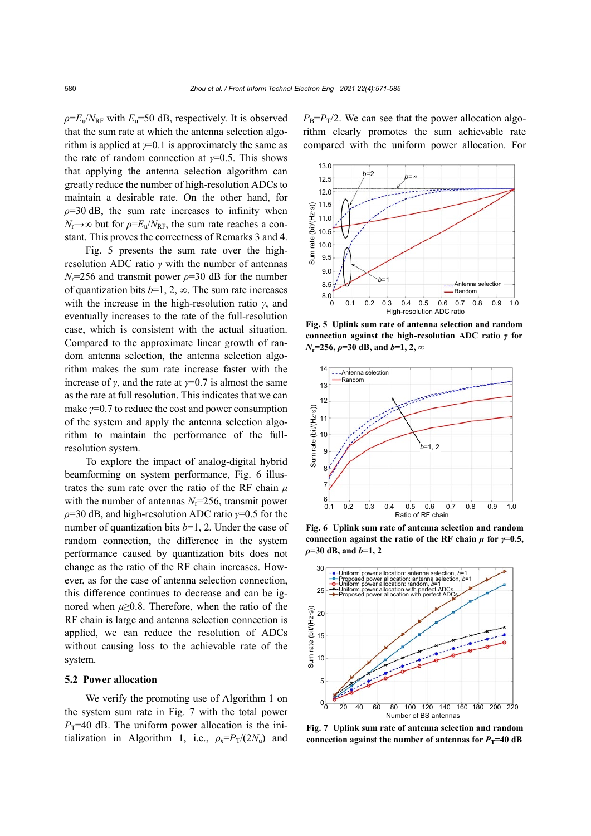$\rho = E_0/N_{\text{RF}}$  with  $E_0 = 50$  dB, respectively. It is observed that the sum rate at which the antenna selection algorithm is applied at  $\gamma$ =0.1 is approximately the same as the rate of random connection at *γ*=0.5. This shows that applying the antenna selection algorithm can greatly reduce the number of high-resolution ADCs to maintain a desirable rate. On the other hand, for  $\rho$ =30 dB, the sum rate increases to infinity when  $N_r \rightarrow \infty$  but for  $\rho = E_u/N_{RF}$ , the sum rate reaches a constant. This proves the correctness of Remarks 3 and 4.

Fig. 5 presents the sum rate over the highresolution ADC ratio *γ* with the number of antennas  $N_r$ =256 and transmit power  $\rho$ =30 dB for the number of quantization bits  $b=1, 2, \infty$ . The sum rate increases with the increase in the high-resolution ratio *γ*, and eventually increases to the rate of the full-resolution case, which is consistent with the actual situation. Compared to the approximate linear growth of random antenna selection, the antenna selection algorithm makes the sum rate increase faster with the increase of  $\gamma$ , and the rate at  $\gamma$ =0.7 is almost the same as the rate at full resolution. This indicates that we can make *γ*=0.7 to reduce the cost and power consumption of the system and apply the antenna selection algorithm to maintain the performance of the fullresolution system.

To explore the impact of analog-digital hybrid beamforming on system performance, Fig. 6 illustrates the sum rate over the ratio of the RF chain *μ* with the number of antennas  $N_r = 256$ , transmit power *ρ*=30 dB, and high-resolution ADC ratio *γ*=0.5 for the number of quantization bits *b*=1, 2. Under the case of random connection, the difference in the system performance caused by quantization bits does not change as the ratio of the RF chain increases. However, as for the case of antenna selection connection, this difference continues to decrease and can be ignored when  $\mu \geq 0.8$ . Therefore, when the ratio of the RF chain is large and antenna selection connection is applied, we can reduce the resolution of ADCs without causing loss to the achievable rate of the system.

#### **5.2 Power allocation**

We verify the promoting use of Algorithm 1 on the system sum rate in Fig. 7 with the total power  $P_T$ =40 dB. The uniform power allocation is the initialization in Algorithm 1, i.e.,  $\rho_k = P_T/(2N_u)$  and  $P_B = P_T/2$ . We can see that the power allocation algorithm clearly promotes the sum achievable rate compared with the uniform power allocation. For



**Fig. 5 Uplink sum rate of antenna selection and random connection against the high-resolution ADC ratio** *γ* **for**  *N*<sub>r</sub>=256,  $\rho$ =30 dB, and *b*=1, 2, ∞



**Fig. 6 Uplink sum rate of antenna selection and random connection against the ratio of the RF chain**  $\mu$  **for**  $\gamma=0.5$ **,** *ρ***=30 dB, and** *b***=1, 2**



**Fig. 7 Uplink sum rate of antenna selection and random**  connection against the number of antennas for  $P_T=40$  dB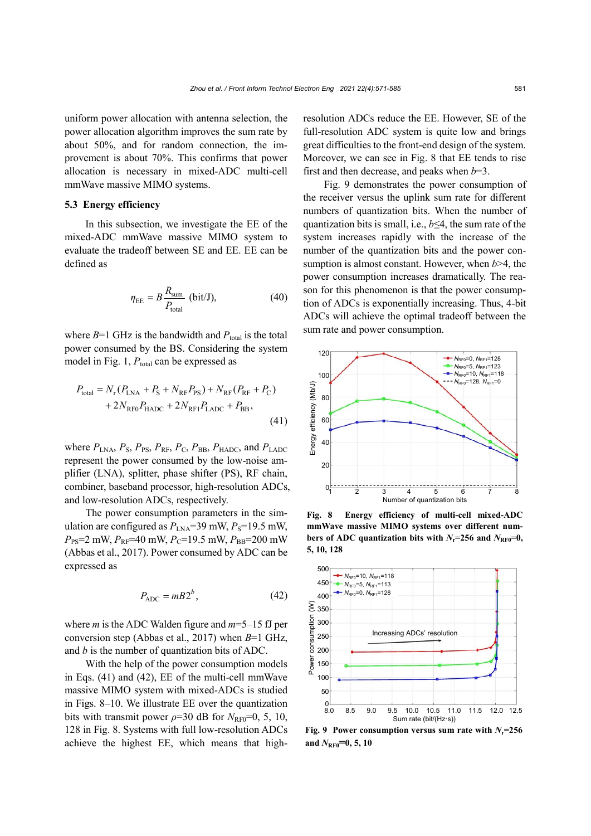uniform power allocation with antenna selection, the power allocation algorithm improves the sum rate by about 50%, and for random connection, the improvement is about 70%. This confirms that power allocation is necessary in mixed-ADC multi-cell mmWave massive MIMO systems.

#### **5.3 Energy efficiency**

In this subsection, we investigate the EE of the mixed-ADC mmWave massive MIMO system to evaluate the tradeoff between SE and EE. EE can be defined as

$$
\eta_{\rm EE} = B \frac{R_{\rm sum}}{P_{\rm total}} \text{ (bit/J)},\tag{40}
$$

where  $B=1$  GHz is the bandwidth and  $P_{total}$  is the total power consumed by the BS. Considering the system model in Fig. 1,  $P_{total}$  can be expressed as

$$
P_{\text{total}} = N_{\text{r}} (P_{\text{LNA}} + P_{\text{S}} + N_{\text{RF}} P_{\text{PS}}) + N_{\text{RF}} (P_{\text{RF}} + P_{\text{C}}) + 2N_{\text{RF0}} P_{\text{HADC}} + 2N_{\text{RF1}} P_{\text{LADC}} + P_{\text{BB}},
$$
\n(41)

where  $P_{\text{LNA}}$ ,  $P_{\text{S}}$ ,  $P_{\text{PS}}$ ,  $P_{\text{RF}}$ ,  $P_{\text{C}}$ ,  $P_{\text{BB}}$ ,  $P_{\text{HADC}}$ , and  $P_{\text{LADC}}$ represent the power consumed by the low-noise amplifier (LNA), splitter, phase shifter (PS), RF chain, combiner, baseband processor, high-resolution ADCs, and low-resolution ADCs, respectively.

The power consumption parameters in the simulation are configured as  $P_{LNA}$ =39 mW,  $P_S$ =19.5 mW,  $P_{\text{PS}}=2$  mW,  $P_{\text{RF}}=40$  mW,  $P_{\text{C}}=19.5$  mW,  $P_{\text{BB}}=200$  mW (Abbas et al., 2017). Power consumed by ADC can be expressed as

$$
P_{\rm ADC} = mB2^b, \tag{42}
$$

where *m* is the ADC Walden figure and *m*=5–15 fJ per conversion step (Abbas et al., 2017) when *B*=1 GHz, and *b* is the number of quantization bits of ADC.

With the help of the power consumption models in Eqs. (41) and (42), EE of the multi-cell mmWave massive MIMO system with mixed-ADCs is studied in Figs. 8–10. We illustrate EE over the quantization bits with transmit power  $\rho$ =30 dB for  $N_{\text{RF0}}$ =0, 5, 10, 128 in Fig. 8. Systems with full low-resolution ADCs achieve the highest EE, which means that highresolution ADCs reduce the EE. However, SE of the full-resolution ADC system is quite low and brings great difficulties to the front-end design of the system. Moreover, we can see in Fig. 8 that EE tends to rise first and then decrease, and peaks when *b*=3.

Fig. 9 demonstrates the power consumption of the receiver versus the uplink sum rate for different numbers of quantization bits. When the number of quantization bits is small, i.e., *b*≤4, the sum rate of the system increases rapidly with the increase of the number of the quantization bits and the power consumption is almost constant. However, when *b*>4, the power consumption increases dramatically. The reason for this phenomenon is that the power consumption of ADCs is exponentially increasing. Thus, 4-bit ADCs will achieve the optimal tradeoff between the sum rate and power consumption.



**Fig. 8 Energy efficiency of multi-cell mixed-ADC mmWave massive MIMO systems over different numbers of ADC quantization bits with**  $N_r=256$  **and**  $N_{RFA}=0$ **, 5, 10, 128**



**Fig.** 9 Power consumption versus sum rate with  $N_r=256$ and  $N_{\text{RF0}}=0, 5, 10$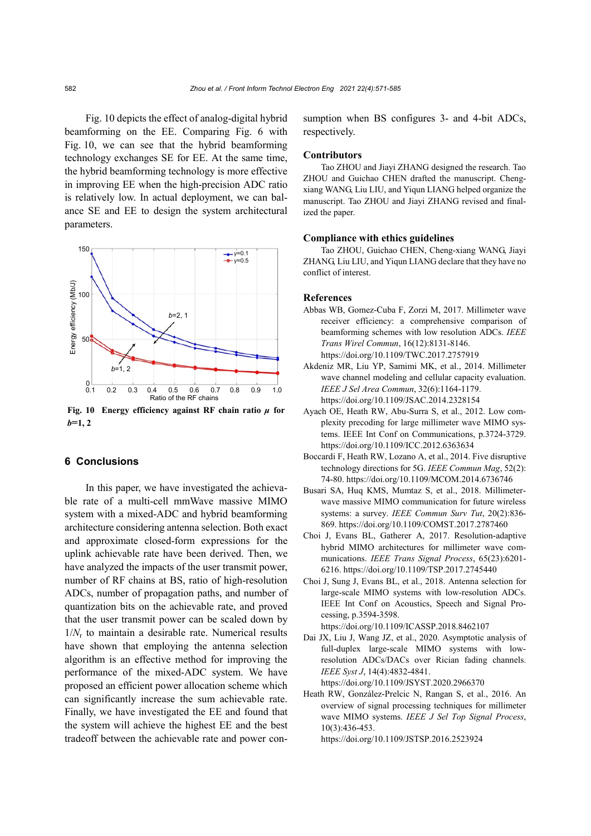Fig. 10 depicts the effect of analog-digital hybrid beamforming on the EE. Comparing Fig. 6 with Fig. 10, we can see that the hybrid beamforming technology exchanges SE for EE. At the same time, the hybrid beamforming technology is more effective in improving EE when the high-precision ADC ratio is relatively low. In actual deployment, we can balance SE and EE to design the system architectural parameters.



**Fig. 10 Energy efficiency against RF chain ratio** *μ* **for** *b***=1, 2**

# **6 Conclusions**

In this paper, we have investigated the achievable rate of a multi-cell mmWave massive MIMO system with a mixed-ADC and hybrid beamforming architecture considering antenna selection. Both exact and approximate closed-form expressions for the uplink achievable rate have been derived. Then, we have analyzed the impacts of the user transmit power, number of RF chains at BS, ratio of high-resolution ADCs, number of propagation paths, and number of quantization bits on the achievable rate, and proved that the user transmit power can be scaled down by  $1/N_r$  to maintain a desirable rate. Numerical results have shown that employing the antenna selection algorithm is an effective method for improving the performance of the mixed-ADC system. We have proposed an efficient power allocation scheme which can significantly increase the sum achievable rate. Finally, we have investigated the EE and found that the system will achieve the highest EE and the best tradeoff between the achievable rate and power consumption when BS configures 3- and 4-bit ADCs, respectively.

#### **Contributors**

Tao ZHOU and Jiayi ZHANG designed the research. Tao ZHOU and Guichao CHEN drafted the manuscript. Chengxiang WANG, Liu LIU, and Yiqun LIANG helped organize the manuscript. Tao ZHOU and Jiayi ZHANG revised and finalized the paper.

#### **Compliance with ethics guidelines**

Tao ZHOU, Guichao CHEN, Cheng-xiang WANG, Jiayi ZHANG, Liu LIU, and Yiqun LIANG declare that they have no conflict of interest.

# **References**

- Abbas WB, Gomez-Cuba F, Zorzi M, 2017. Millimeter wave receiver efficiency: a comprehensive comparison of beamforming schemes with low resolution ADCs. *IEEE Trans Wirel Commun*, 16(12):8131-8146. https://doi.org/10.1109/TWC.2017.2757919
- Akdeniz MR, Liu YP, Samimi MK, et al., 2014. Millimeter wave channel modeling and cellular capacity evaluation. *IEEE J Sel Area Commun*, 32(6):1164-1179. https://doi.org/10.1109/JSAC.2014.2328154
- Ayach OE, Heath RW, Abu-Surra S, et al., 2012. Low complexity precoding for large millimeter wave MIMO systems. IEEE Int Conf on Communications, p.3724-3729. https://doi.org/10.1109/ICC.2012.6363634
- Boccardi F, Heath RW, Lozano A, et al., 2014. Five disruptive technology directions for 5G. *IEEE Commun Mag*, 52(2): 74-80. https://doi.org/10.1109/MCOM.2014.6736746
- Busari SA, Huq KMS, Mumtaz S, et al., 2018. Millimeterwave massive MIMO communication for future wireless systems: a survey. *IEEE Commun Surv Tut*, 20(2):836- 869. https://doi.org/10.1109/COMST.2017.2787460
- Choi J, Evans BL, Gatherer A, 2017. Resolution-adaptive hybrid MIMO architectures for millimeter wave communications. *IEEE Trans Signal Process*, 65(23):6201- 6216. https://doi.org/10.1109/TSP.2017.2745440
- Choi J, Sung J, Evans BL, et al., 2018. Antenna selection for large-scale MIMO systems with low-resolution ADCs. IEEE Int Conf on Acoustics, Speech and Signal Processing, p.3594-3598. https://doi.org/10.1109/ICASSP.2018.8462107
- Dai JX, Liu J, Wang JZ, et al., 2020. Asymptotic analysis of full-duplex large-scale MIMO systems with lowresolution ADCs/DACs over Rician fading channels. *IEEE Syst J*, 14(4):4832-4841. https://doi.org/10.1109/JSYST.2020.2966370

Heath RW, González-Prelcic N, Rangan S, et al., 2016. An overview of signal processing techniques for millimeter wave MIMO systems. *IEEE J Sel Top Signal Process*, 10(3):436-453.

https://doi.org/10.1109/JSTSP.2016.2523924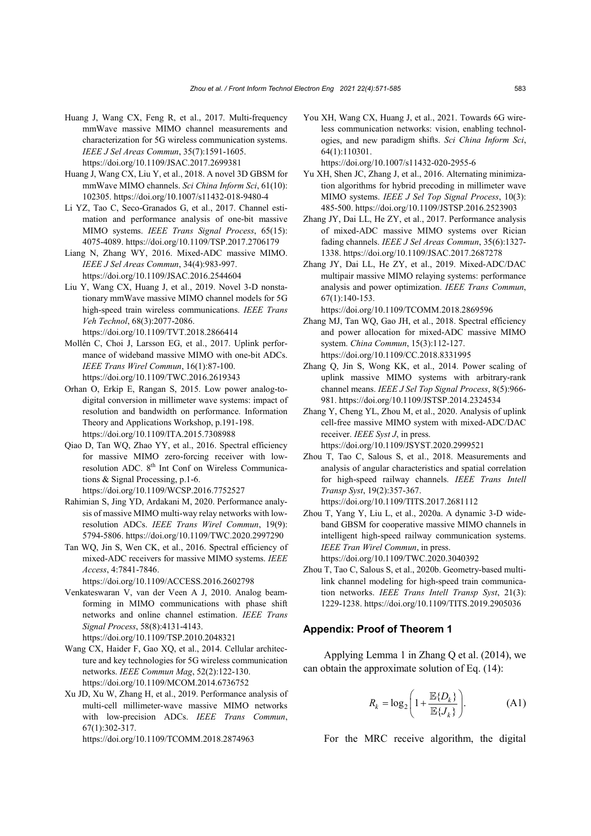- Huang J, Wang CX, Feng R, et al., 2017. Multi-frequency mmWave massive MIMO channel measurements and characterization for 5G wireless communication systems. *IEEE J Sel Areas Commun*, 35(7):1591-1605. https://doi.org/10.1109/JSAC.2017.2699381
- Huang J, Wang CX, Liu Y, et al., 2018. A novel 3D GBSM for mmWave MIMO channels. *Sci China Inform Sci*, 61(10): 102305. https://doi.org/10.1007/s11432-018-9480-4
- Li YZ, Tao C, Seco-Granados G, et al., 2017. Channel estimation and performance analysis of one-bit massive MIMO systems. *IEEE Trans Signal Process*, 65(15): 4075-4089. https://doi.org/10.1109/TSP.2017.2706179
- Liang N, Zhang WY, 2016. Mixed-ADC massive MIMO. *IEEE J Sel Areas Commun*, 34(4):983-997. https://doi.org/10.1109/JSAC.2016.2544604
- Liu Y, Wang CX, Huang J, et al., 2019. Novel 3-D nonstationary mmWave massive MIMO channel models for 5G high-speed train wireless communications. *IEEE Trans Veh Technol*, 68(3):2077-2086. https://doi.org/10.1109/TVT.2018.2866414
- Mollén C, Choi J, Larsson EG, et al., 2017. Uplink performance of wideband massive MIMO with one-bit ADCs. *IEEE Trans Wirel Commun*, 16(1):87-100. https://doi.org/10.1109/TWC.2016.2619343
- Orhan O, Erkip E, Rangan S, 2015. Low power analog-todigital conversion in millimeter wave systems: impact of resolution and bandwidth on performance. Information Theory and Applications Workshop, p.191-198. https://doi.org/10.1109/ITA.2015.7308988
- Qiao D, Tan WQ, Zhao YY, et al., 2016. Spectral efficiency for massive MIMO zero-forcing receiver with lowresolution ADC. 8<sup>th</sup> Int Conf on Wireless Communications & Signal Processing, p.1-6. https://doi.org/10.1109/WCSP.2016.7752527
- Rahimian S, Jing YD, Ardakani M, 2020. Performance analysis of massive MIMO multi-way relay networks with lowresolution ADCs. *IEEE Trans Wirel Commun*, 19(9): 5794-5806. https://doi.org/10.1109/TWC.2020.2997290
- Tan WQ, Jin S, Wen CK, et al., 2016. Spectral efficiency of mixed-ADC receivers for massive MIMO systems. *IEEE Access*, 4:7841-7846. https://doi.org/10.1109/ACCESS.2016.2602798
- Venkateswaran V, van der Veen A J, 2010. Analog beamforming in MIMO communications with phase shift networks and online channel estimation. *IEEE Trans Signal Process*, 58(8):4131-4143. https://doi.org/10.1109/TSP.2010.2048321
- Wang CX, Haider F, Gao XQ, et al., 2014. Cellular architecture and key technologies for 5G wireless communication networks. *IEEE Commun Mag*, 52(2):122-130. https://doi.org/10.1109/MCOM.2014.6736752
- Xu JD, Xu W, Zhang H, et al., 2019. Performance analysis of multi-cell millimeter-wave massive MIMO networks with low-precision ADCs. *IEEE Trans Commun*, 67(1):302-317.

https://doi.org/10.1109/TCOMM.2018.2874963

You XH, Wang CX, Huang J, et al., 2021. Towards 6G wireless communication networks: vision, enabling technologies, and new paradigm shifts. *Sci China Inform Sci*, 64(1):110301.

https://doi.org/10.1007/s11432-020-2955-6

- Yu XH, Shen JC, Zhang J, et al., 2016. Alternating minimization algorithms for hybrid precoding in millimeter wave MIMO systems. *IEEE J Sel Top Signal Process*, 10(3): 485-500. https://doi.org/10.1109/JSTSP.2016.2523903
- Zhang JY, Dai LL, He ZY, et al., 2017. Performance analysis of mixed-ADC massive MIMO systems over Rician fading channels. *IEEE J Sel Areas Commun*, 35(6):1327- 1338. https://doi.org/10.1109/JSAC.2017.2687278
- Zhang JY, Dai LL, He ZY, et al., 2019. Mixed-ADC/DAC multipair massive MIMO relaying systems: performance analysis and power optimization. *IEEE Trans Commun*, 67(1):140-153.
- https://doi.org/10.1109/TCOMM.2018.2869596 Zhang MJ, Tan WQ, Gao JH, et al., 2018. Spectral efficiency
- and power allocation for mixed-ADC massive MIMO system. *China Commun*, 15(3):112-127. https://doi.org/10.1109/CC.2018.8331995
- Zhang Q, Jin S, Wong KK, et al., 2014. Power scaling of uplink massive MIMO systems with arbitrary-rank channel means. *IEEE J Sel Top Signal Process*, 8(5):966- 981. https://doi.org/10.1109/JSTSP.2014.2324534
- Zhang Y, Cheng YL, Zhou M, et al., 2020. Analysis of uplink cell-free massive MIMO system with mixed-ADC/DAC receiver. *IEEE Syst J*, in press. https://doi.org/10.1109/JSYST.2020.2999521
- Zhou T, Tao C, Salous S, et al., 2018. Measurements and analysis of angular characteristics and spatial correlation for high-speed railway channels. *IEEE Trans Intell Transp Syst*, 19(2):357-367. https://doi.org/10.1109/TITS.2017.2681112
- Zhou T, Yang Y, Liu L, et al., 2020a. A dynamic 3-D wideband GBSM for cooperative massive MIMO channels in intelligent high-speed railway communication systems. *IEEE Tran Wirel Commun*, in press. https://doi.org/10.1109/TWC.2020.3040392
- Zhou T, Tao C, Salous S, et al., 2020b. Geometry-based multilink channel modeling for high-speed train communication networks. *IEEE Trans Intell Transp Syst*, 21(3):

1229-1238. https://doi.org/10.1109/TITS.2019.2905036

### **Appendix: Proof of Theorem 1**

Applying Lemma 1 in Zhang Q et al. (2014), we can obtain the approximate solution of Eq. (14):

$$
R_k = \log_2 \left( 1 + \frac{\mathbb{E}\{D_k\}}{\mathbb{E}\{J_k\}} \right). \tag{A1}
$$

For the MRC receive algorithm, the digital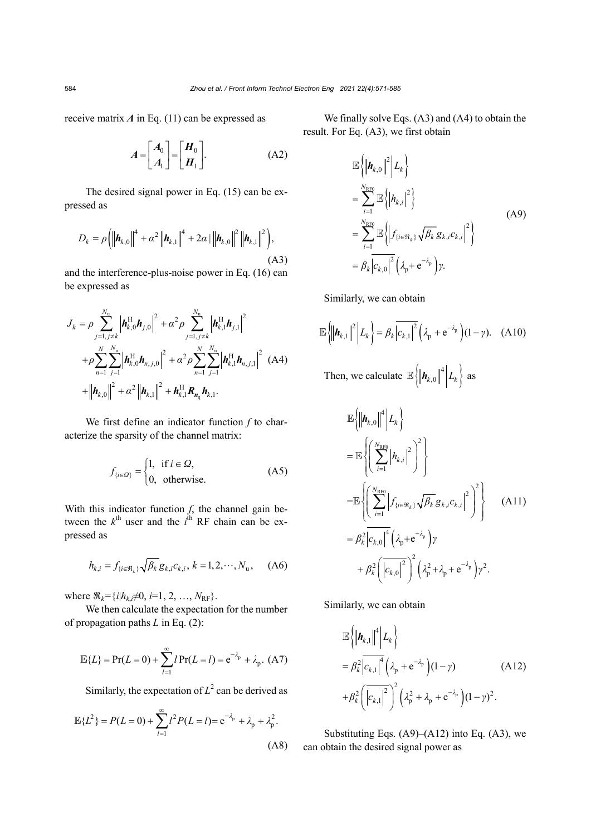receive matrix  $\vec{A}$  in Eq. (11) can be expressed as

$$
A = \begin{bmatrix} A_0 \\ A_1 \end{bmatrix} = \begin{bmatrix} H_0 \\ H_1 \end{bmatrix}.
$$
 (A2)

The desired signal power in Eq. (15) can be expressed as

$$
D_{k} = \rho \left( \left\| \boldsymbol{h}_{k,0} \right\|^{4} + \alpha^{2} \left\| \boldsymbol{h}_{k,1} \right\|^{4} + 2\alpha \left| \left\| \boldsymbol{h}_{k,0} \right\|^{2} \left\| \boldsymbol{h}_{k,1} \right\|^{2} \right), \tag{A3}
$$

and the interference-plus-noise power in Eq. (16) can be expressed as

$$
J_{k} = \rho \sum_{j=1, j \neq k}^{N_{\rm u}} \left| \boldsymbol{h}_{k,0}^{\rm H} \boldsymbol{h}_{j,0} \right|^{2} + \alpha^{2} \rho \sum_{j=1, j \neq k}^{N_{\rm u}} \left| \boldsymbol{h}_{k,1}^{\rm H} \boldsymbol{h}_{j,1} \right|^{2}
$$
  
+  $\rho \sum_{n=1}^{N} \sum_{j=1}^{N_{\rm u}} \left| \boldsymbol{h}_{k,0}^{\rm H} \boldsymbol{h}_{n,j,0} \right|^{2} + \alpha^{2} \rho \sum_{n=1}^{N} \sum_{j=1}^{N_{\rm u}} \left| \boldsymbol{h}_{k,1}^{\rm H} \boldsymbol{h}_{n,j,1} \right|^{2} (A4)$   
+  $\left| \left| \boldsymbol{h}_{k,0} \right|^{2} + \alpha^{2} \left| \left| \boldsymbol{h}_{k,1} \right| \right|^{2} + \boldsymbol{h}_{k,1}^{\rm H} \boldsymbol{R}_{n_{\rm q}} \boldsymbol{h}_{k,1}. \right.$ 

We first define an indicator function *f* to characterize the sparsity of the channel matrix:

$$
f_{\{i \in \mathcal{Q}\}} = \begin{cases} 1, & \text{if } i \in \mathcal{Q}, \\ 0, & \text{otherwise.} \end{cases}
$$
 (A5)

With this indicator function  $f$ , the channel gain between the  $k^{\text{th}}$  user and the  $i^{\text{th}}$  RF chain can be expressed as

$$
h_{k,i} = f_{\{i \in \mathfrak{R}_k\}} \sqrt{\beta_k} g_{k,i} c_{k,i}, k = 1, 2, \cdots, N_{\mathbf{u}}, \quad \text{(A6)}
$$

where  $\Re_k = \{i | h_{k,i} \neq 0, i = 1, 2, ..., N_{RF}\}.$ 

We then calculate the expectation for the number of propagation paths *L* in Eq. (2):

$$
\mathbb{E}{L} = Pr(L = 0) + \sum_{l=1}^{\infty} l Pr(L = l) = e^{-\lambda_p} + \lambda_p.
$$
 (A7)

Similarly, the expectation of  $L^2$  can be derived as

$$
\mathbb{E}{L^2} = P(L=0) + \sum_{l=1}^{\infty} l^2 P(L=l) = e^{-\lambda_p} + \lambda_p + \lambda_p^2.
$$
\n(A8)

We finally solve Eqs. (A3) and (A4) to obtain the result. For Eq. (A3), we first obtain

$$
\mathbb{E}\left\{\left\|\boldsymbol{h}_{k,0}\right\|^{2}\middle|L_{k}\right\}\n=\sum_{i=1}^{N_{\text{RF0}}}\mathbb{E}\left\{\left|h_{k,i}\right|^{2}\right\}\n=\sum_{i=1}^{N_{\text{RF0}}}\mathbb{E}\left\{\left|f_{\{i\in\mathfrak{R}_{k}\}}\sqrt{\beta_{k}}g_{k,i}c_{k,i}\right|^{2}\right\}\n=\beta_{k}\left|c_{k,0}\right|^{2}\left(\lambda_{p}+e^{-\lambda_{p}}\right)\gamma.
$$
\n(A9)

Similarly, we can obtain

$$
\mathbb{E}\left\{\left\|\boldsymbol{h}_{k,1}\right\|^2 \middle| L_k\right\} = \beta_k \left| c_{k,1} \right|^2 \left( \lambda_p + e^{-\lambda_p} \right) (1-\gamma). \quad \text{(A10)}
$$

Then, we calculate  $\mathbb{E}\left\|\mathbf{h}_{k,0}\right\|^4 \Big| L_k \right\}$  as

$$
\mathbb{E}\left\{\left\|\mathbf{h}_{k,0}\right\|^{4}\middle|L_{k}\right\}
$$
\n
$$
= \mathbb{E}\left\{\left(\sum_{i=1}^{N_{\text{RF0}}} \left|h_{k,i}\right|^{2}\right)^{2}\right\}
$$
\n
$$
= \mathbb{E}\left\{\left(\sum_{i=1}^{N_{\text{RF0}}} \left|f_{\{i\in\mathfrak{R}_{k}\}}\sqrt{\beta_{k}} g_{k,i} c_{k,i}\right|^{2}\right)^{2}\right\} \qquad (A11)
$$
\n
$$
= \beta_{k}^{2} \left|c_{k,0}\right|^{4} \left(\lambda_{p} + e^{-\lambda_{p}}\right) \gamma
$$
\n
$$
+ \beta_{k}^{2} \left(\left|c_{k,0}\right|^{2}\right)^{2} \left(\lambda_{p}^{2} + \lambda_{p} + e^{-\lambda_{p}}\right) \gamma^{2}.
$$

Similarly, we can obtain

$$
\mathbb{E}\left\{\left\|\mathbf{A}_{k,1}\right\|^{4} \middle| L_{k}\right\}=\beta_{k}^{2} \left|c_{k,1}\right|^{4} \left(\lambda_{p} + e^{-\lambda_{p}}\right) (1-\gamma) \tag{A12}+ \beta_{k}^{2} \left(\left|c_{k,1}\right|^{2}\right)^{2} \left(\lambda_{p}^{2} + \lambda_{p} + e^{-\lambda_{p}}\right) (1-\gamma)^{2}.
$$

Substituting Eqs.  $(A9)$ – $(A12)$  into Eq.  $(A3)$ , we can obtain the desired signal power as